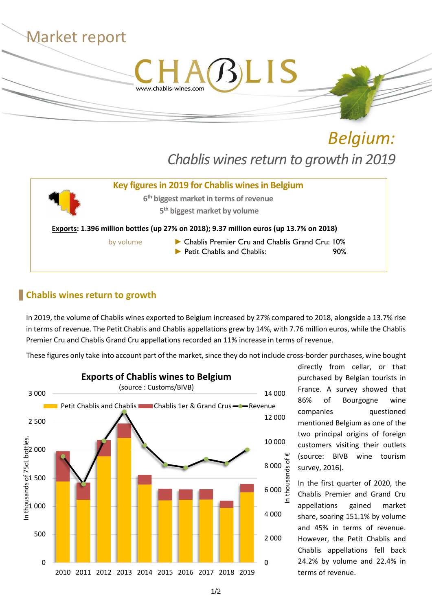

*Belgium: Chablis wines return to growth in 2019*

# **Key figures in 2019 for Chablis winesin Belgium 6 th biggest marketin terms of revenue 5 th biggest market by volume Exports: 1.396 million bottles (up 27% on 2018); 9.37 million euros (up 13.7% on 2018)** by volume **Exercise Chablis Premier Cru and Chablis Grand Cru: 10%** ► Petit Chablis and Chablis: 90%

#### **Chablis wines return to growth**

In 2019, the volume of Chablis wines exported to Belgium increased by 27% compared to 2018, alongside a 13.7% rise in terms of revenue. The Petit Chablis and Chablis appellations grew by 14%, with 7.76 million euros, while the Chablis Premier Cru and Chablis Grand Cru appellations recorded an 11% increase in terms of revenue.

These figures only take into account part of the market, since they do not include cross-border purchases, wine bought



directly from cellar, or that purchased by Belgian tourists in France. A survey showed that 86% of Bourgogne wine companies questioned mentioned Belgium as one of the two principal origins of foreign customers visiting their outlets (source: BIVB wine tourism survey, 2016).

In the first quarter of 2020, the Chablis Premier and Grand Cru appellations gained market share, soaring 151.1% by volume and 45% in terms of revenue. However, the Petit Chablis and Chablis appellations fell back 24.2% by volume and 22.4% in terms of revenue.